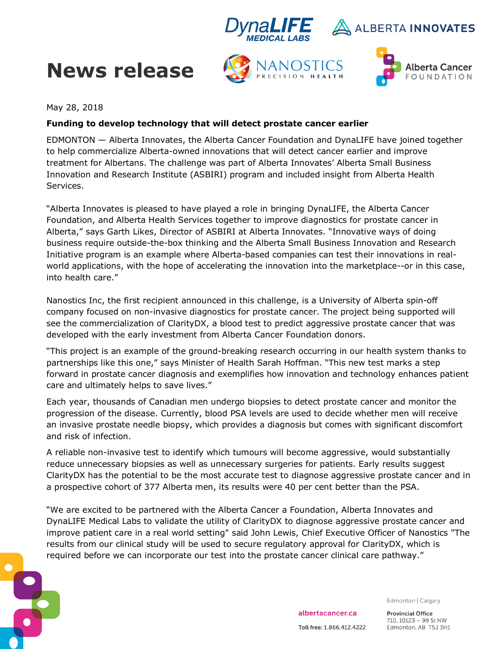

# **News release**





May 28, 2018

#### **Funding to develop technology that will detect prostate cancer earlier**

EDMONTON — Alberta Innovates, the Alberta Cancer Foundation and DynaLIFE have joined together to help commercialize Alberta-owned innovations that will detect cancer earlier and improve treatment for Albertans. The challenge was part of Alberta Innovates' Alberta Small Business Innovation and Research Institute (ASBIRI) program and included insight from Alberta Health Services.

"Alberta Innovates is pleased to have played a role in bringing DynaLIFE, the Alberta Cancer Foundation, and Alberta Health Services together to improve diagnostics for prostate cancer in Alberta," says Garth Likes, Director of ASBIRI at Alberta Innovates. "Innovative ways of doing business require outside-the-box thinking and the Alberta Small Business Innovation and Research Initiative program is an example where Alberta-based companies can test their innovations in realworld applications, with the hope of accelerating the innovation into the marketplace--or in this case, into health care."

Nanostics Inc, the first recipient announced in this challenge, is a University of Alberta spin-off company focused on non-invasive diagnostics for prostate cancer. The project being supported will see the commercialization of ClarityDX, a blood test to predict aggressive prostate cancer that was developed with the early investment from Alberta Cancer Foundation donors.

"This project is an example of the ground-breaking research occurring in our health system thanks to partnerships like this one," says Minister of Health Sarah Hoffman. "This new test marks a step forward in prostate cancer diagnosis and exemplifies how innovation and technology enhances patient care and ultimately helps to save lives."

Each year, thousands of Canadian men undergo biopsies to detect prostate cancer and monitor the progression of the disease. Currently, blood PSA levels are used to decide whether men will receive an invasive prostate needle biopsy, which provides a diagnosis but comes with significant discomfort and risk of infection.

A reliable non-invasive test to identify which tumours will become aggressive, would substantially reduce unnecessary biopsies as well as unnecessary surgeries for patients. Early results suggest ClarityDX has the potential to be the most accurate test to diagnose aggressive prostate cancer and in a prospective cohort of 377 Alberta men, its results were 40 per cent better than the PSA.

"We are excited to be partnered with the Alberta Cancer a Foundation, Alberta Innovates and DynaLIFE Medical Labs to validate the utility of ClarityDX to diagnose aggressive prostate cancer and improve patient care in a real world setting" said John Lewis, Chief Executive Officer of Nanostics "The results from our clinical study will be used to secure regulatory approval for ClarityDX, which is required before we can incorporate our test into the prostate cancer clinical care pathway."



Edmonton | Calgary

albertacancer.ca Toll free: 1.866.412.4222 **Provincial Office** 710, 10123 - 99 St NW Edmonton, AB T5J 3H1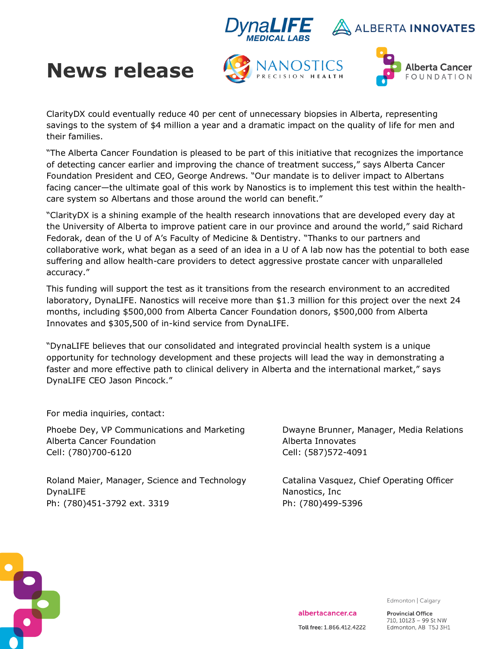



# **News release**





ClarityDX could eventually reduce 40 per cent of unnecessary biopsies in Alberta, representing savings to the system of \$4 million a year and a dramatic impact on the quality of life for men and their families.

"The Alberta Cancer Foundation is pleased to be part of this initiative that recognizes the importance of detecting cancer earlier and improving the chance of treatment success," says Alberta Cancer Foundation President and CEO, George Andrews. "Our mandate is to deliver impact to Albertans facing cancer—the ultimate goal of this work by Nanostics is to implement this test within the healthcare system so Albertans and those around the world can benefit."

"ClarityDX is a shining example of the health research innovations that are developed every day at the University of Alberta to improve patient care in our province and around the world," said Richard Fedorak, dean of the U of A's Faculty of Medicine & Dentistry. "Thanks to our partners and collaborative work, what began as a seed of an idea in a U of A lab now has the potential to both ease suffering and allow health-care providers to detect aggressive prostate cancer with unparalleled accuracy."

This funding will support the test as it transitions from the research environment to an accredited laboratory, DynaLIFE. Nanostics will receive more than \$1.3 million for this project over the next 24 months, including \$500,000 from Alberta Cancer Foundation donors, \$500,000 from Alberta Innovates and \$305,500 of in-kind service from DynaLIFE.

"DynaLIFE believes that our consolidated and integrated provincial health system is a unique opportunity for technology development and these projects will lead the way in demonstrating a faster and more effective path to clinical delivery in Alberta and the international market," says DynaLIFE CEO Jason Pincock."

For media inquiries, contact:

Phoebe Dey, VP Communications and Marketing Dwayne Brunner, Manager, Media Relations Alberta Cancer Foundation Alberta Innovates Cell: (780)700-6120 Cell: (587)572-4091

Roland Maier, Manager, Science and Technology Catalina Vasquez, Chief Operating Officer DynaLIFE Nanostics, Inc. Nanostics, Inc. Nanostics, Inc. Nanostics, Inc. Nanostics, Inc. Nanostics, Inc. Nanostics, Inc. Nanostics, Inc. Nanostics, Inc. Nanostics, Inc. Nanostics, Inc. Nanostics, Inc. Nanostics, Inc. Nanos Ph: (780)451-3792 ext. 3319 Ph: (780)499-5396



Edmonton | Calgary